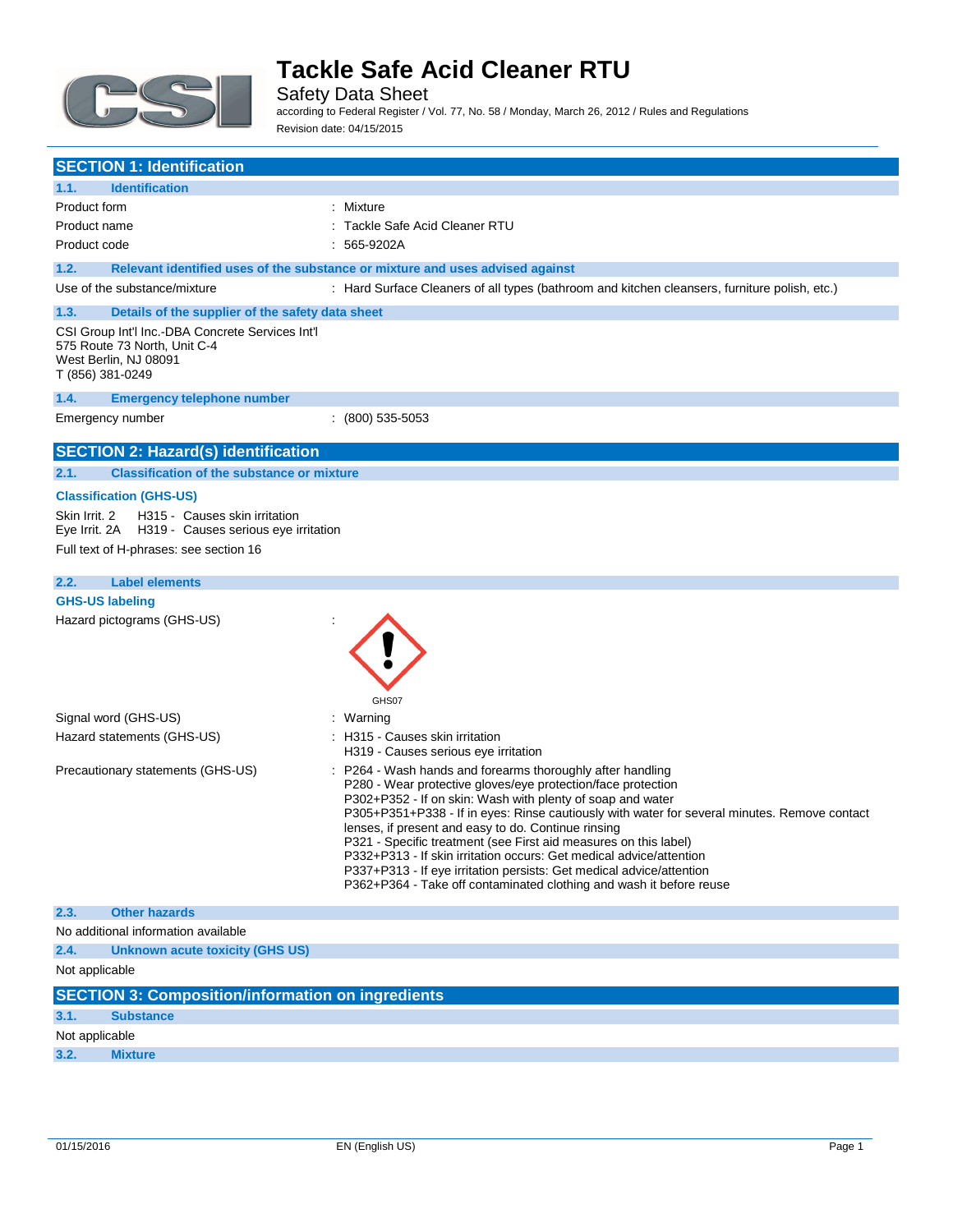

Safety Data Sheet

according to Federal Register / Vol. 77, No. 58 / Monday, March 26, 2012 / Rules and Regulations Revision date: 04/15/2015

| <b>SECTION 1: Identification</b> |                                                                                                           |                                                                                                                                                                                                                                                                                                                                                                                                                                                                                                                                                                                                                                           |  |
|----------------------------------|-----------------------------------------------------------------------------------------------------------|-------------------------------------------------------------------------------------------------------------------------------------------------------------------------------------------------------------------------------------------------------------------------------------------------------------------------------------------------------------------------------------------------------------------------------------------------------------------------------------------------------------------------------------------------------------------------------------------------------------------------------------------|--|
| 1.1.                             | <b>Identification</b>                                                                                     |                                                                                                                                                                                                                                                                                                                                                                                                                                                                                                                                                                                                                                           |  |
| Product form                     |                                                                                                           | : Mixture                                                                                                                                                                                                                                                                                                                                                                                                                                                                                                                                                                                                                                 |  |
| Product name                     |                                                                                                           | : Tackle Safe Acid Cleaner RTU                                                                                                                                                                                                                                                                                                                                                                                                                                                                                                                                                                                                            |  |
| Product code                     |                                                                                                           | : 565-9202A                                                                                                                                                                                                                                                                                                                                                                                                                                                                                                                                                                                                                               |  |
| 1.2.                             |                                                                                                           | Relevant identified uses of the substance or mixture and uses advised against                                                                                                                                                                                                                                                                                                                                                                                                                                                                                                                                                             |  |
|                                  | Use of the substance/mixture                                                                              | : Hard Surface Cleaners of all types (bathroom and kitchen cleansers, furniture polish, etc.)                                                                                                                                                                                                                                                                                                                                                                                                                                                                                                                                             |  |
| 1.3.                             | Details of the supplier of the safety data sheet                                                          |                                                                                                                                                                                                                                                                                                                                                                                                                                                                                                                                                                                                                                           |  |
| T (856) 381-0249                 | CSI Group Int'l Inc.-DBA Concrete Services Int'l<br>575 Route 73 North, Unit C-4<br>West Berlin, NJ 08091 |                                                                                                                                                                                                                                                                                                                                                                                                                                                                                                                                                                                                                                           |  |
| 1.4.                             | <b>Emergency telephone number</b>                                                                         |                                                                                                                                                                                                                                                                                                                                                                                                                                                                                                                                                                                                                                           |  |
|                                  | Emergency number                                                                                          | $(800)$ 535-5053                                                                                                                                                                                                                                                                                                                                                                                                                                                                                                                                                                                                                          |  |
|                                  | <b>SECTION 2: Hazard(s) identification</b>                                                                |                                                                                                                                                                                                                                                                                                                                                                                                                                                                                                                                                                                                                                           |  |
| 2.1.                             | <b>Classification of the substance or mixture</b>                                                         |                                                                                                                                                                                                                                                                                                                                                                                                                                                                                                                                                                                                                                           |  |
|                                  | <b>Classification (GHS-US)</b>                                                                            |                                                                                                                                                                                                                                                                                                                                                                                                                                                                                                                                                                                                                                           |  |
| Skin Irrit. 2                    | H315 - Causes skin irritation<br>Eye Irrit. 2A H319 - Causes serious eye irritation                       |                                                                                                                                                                                                                                                                                                                                                                                                                                                                                                                                                                                                                                           |  |
|                                  | Full text of H-phrases: see section 16                                                                    |                                                                                                                                                                                                                                                                                                                                                                                                                                                                                                                                                                                                                                           |  |
| 2.2.                             | <b>Label elements</b>                                                                                     |                                                                                                                                                                                                                                                                                                                                                                                                                                                                                                                                                                                                                                           |  |
| <b>GHS-US labeling</b>           |                                                                                                           |                                                                                                                                                                                                                                                                                                                                                                                                                                                                                                                                                                                                                                           |  |
|                                  | Hazard pictograms (GHS-US)                                                                                | GHS07                                                                                                                                                                                                                                                                                                                                                                                                                                                                                                                                                                                                                                     |  |
|                                  | Signal word (GHS-US)                                                                                      | : Warning                                                                                                                                                                                                                                                                                                                                                                                                                                                                                                                                                                                                                                 |  |
|                                  | Hazard statements (GHS-US)                                                                                | : H315 - Causes skin irritation<br>H319 - Causes serious eye irritation                                                                                                                                                                                                                                                                                                                                                                                                                                                                                                                                                                   |  |
|                                  | Precautionary statements (GHS-US)                                                                         | : P264 - Wash hands and forearms thoroughly after handling<br>P280 - Wear protective gloves/eye protection/face protection<br>P302+P352 - If on skin: Wash with plenty of soap and water<br>P305+P351+P338 - If in eyes: Rinse cautiously with water for several minutes. Remove contact<br>lenses, if present and easy to do. Continue rinsing<br>P321 - Specific treatment (see First aid measures on this label)<br>P332+P313 - If skin irritation occurs: Get medical advice/attention<br>P337+P313 - If eye irritation persists: Get medical advice/attention<br>P362+P364 - Take off contaminated clothing and wash it before reuse |  |
| 2.3.                             | <b>Other hazards</b>                                                                                      |                                                                                                                                                                                                                                                                                                                                                                                                                                                                                                                                                                                                                                           |  |
|                                  | No additional information available                                                                       |                                                                                                                                                                                                                                                                                                                                                                                                                                                                                                                                                                                                                                           |  |
| 2.4.                             | <b>Unknown acute toxicity (GHS US)</b>                                                                    |                                                                                                                                                                                                                                                                                                                                                                                                                                                                                                                                                                                                                                           |  |
| Not applicable                   |                                                                                                           |                                                                                                                                                                                                                                                                                                                                                                                                                                                                                                                                                                                                                                           |  |
|                                  | <b>SECTION 3: Composition/information on ingredients</b>                                                  |                                                                                                                                                                                                                                                                                                                                                                                                                                                                                                                                                                                                                                           |  |
| 3.1.                             | <b>Substance</b>                                                                                          |                                                                                                                                                                                                                                                                                                                                                                                                                                                                                                                                                                                                                                           |  |
| Not applicable                   |                                                                                                           |                                                                                                                                                                                                                                                                                                                                                                                                                                                                                                                                                                                                                                           |  |
| 3.2.                             | <b>Mixture</b>                                                                                            |                                                                                                                                                                                                                                                                                                                                                                                                                                                                                                                                                                                                                                           |  |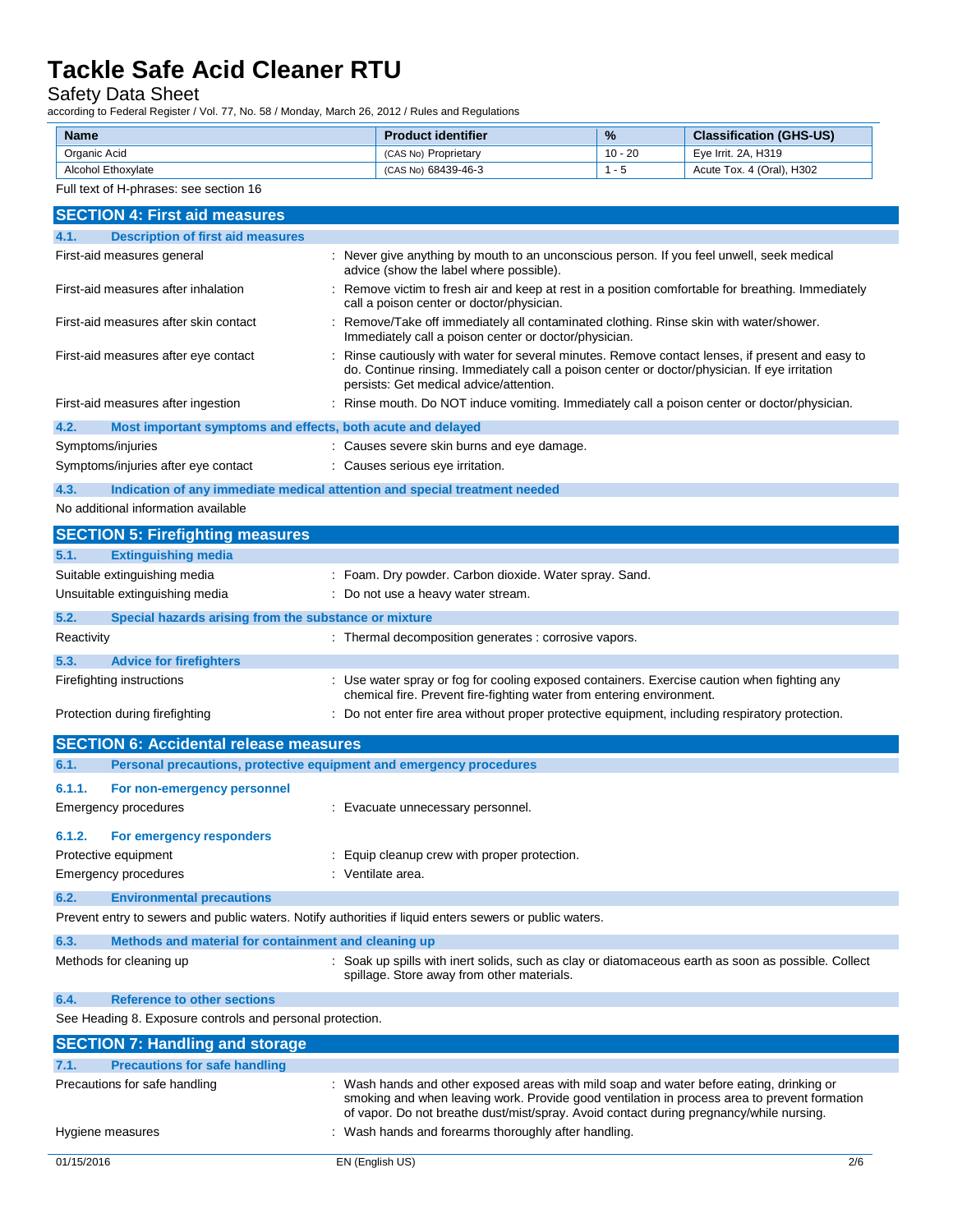Safety Data Sheet

according to Federal Register / Vol. 77, No. 58 / Monday, March 26, 2012 / Rules and Regulations

| <b>Name</b>        | <b>Product identifier</b> | $\frac{9}{6}$ | <b>Classification (GHS-US)</b> |
|--------------------|---------------------------|---------------|--------------------------------|
| Organic Acid       | (CAS No) Proprietary      | $10 - 20$     | Eve Irrit, 2A, H319            |
| Alcohol Ethoxylate | (CAS No) 68439-46-3       | - 5           | Acute Tox. 4 (Oral), H302      |

#### Full text of H-phrases: see section 16

| <b>SECTION 4: First aid measures</b>                                |                                                                                                                                                                                                                                                                                   |  |
|---------------------------------------------------------------------|-----------------------------------------------------------------------------------------------------------------------------------------------------------------------------------------------------------------------------------------------------------------------------------|--|
| <b>Description of first aid measures</b><br>4.1.                    |                                                                                                                                                                                                                                                                                   |  |
| First-aid measures general                                          | : Never give anything by mouth to an unconscious person. If you feel unwell, seek medical<br>advice (show the label where possible).                                                                                                                                              |  |
| First-aid measures after inhalation                                 | : Remove victim to fresh air and keep at rest in a position comfortable for breathing. Immediately<br>call a poison center or doctor/physician.                                                                                                                                   |  |
| First-aid measures after skin contact                               | : Remove/Take off immediately all contaminated clothing. Rinse skin with water/shower.<br>Immediately call a poison center or doctor/physician.                                                                                                                                   |  |
| First-aid measures after eye contact                                | Rinse cautiously with water for several minutes. Remove contact lenses, if present and easy to<br>do. Continue rinsing. Immediately call a poison center or doctor/physician. If eye irritation<br>persists: Get medical advice/attention.                                        |  |
| First-aid measures after ingestion                                  | : Rinse mouth. Do NOT induce vomiting. Immediately call a poison center or doctor/physician.                                                                                                                                                                                      |  |
| 4.2.<br>Most important symptoms and effects, both acute and delayed |                                                                                                                                                                                                                                                                                   |  |
| Symptoms/injuries                                                   | : Causes severe skin burns and eye damage.                                                                                                                                                                                                                                        |  |
| Symptoms/injuries after eye contact                                 | : Causes serious eye irritation.                                                                                                                                                                                                                                                  |  |
| 4.3.                                                                | Indication of any immediate medical attention and special treatment needed                                                                                                                                                                                                        |  |
| No additional information available                                 |                                                                                                                                                                                                                                                                                   |  |
| <b>SECTION 5: Firefighting measures</b>                             |                                                                                                                                                                                                                                                                                   |  |
|                                                                     |                                                                                                                                                                                                                                                                                   |  |
| <b>Extinguishing media</b><br>5.1.                                  |                                                                                                                                                                                                                                                                                   |  |
| Suitable extinguishing media                                        | : Foam. Dry powder. Carbon dioxide. Water spray. Sand.                                                                                                                                                                                                                            |  |
| Unsuitable extinguishing media                                      | Do not use a heavy water stream.                                                                                                                                                                                                                                                  |  |
| 5.2.<br>Special hazards arising from the substance or mixture       |                                                                                                                                                                                                                                                                                   |  |
| Reactivity                                                          | : Thermal decomposition generates : corrosive vapors.                                                                                                                                                                                                                             |  |
| 5.3.<br><b>Advice for firefighters</b>                              |                                                                                                                                                                                                                                                                                   |  |
| Firefighting instructions                                           | : Use water spray or fog for cooling exposed containers. Exercise caution when fighting any                                                                                                                                                                                       |  |
| Protection during firefighting                                      | chemical fire. Prevent fire-fighting water from entering environment.<br>: Do not enter fire area without proper protective equipment, including respiratory protection.                                                                                                          |  |
| <b>SECTION 6: Accidental release measures</b>                       |                                                                                                                                                                                                                                                                                   |  |
| 6.1.                                                                | Personal precautions, protective equipment and emergency procedures                                                                                                                                                                                                               |  |
|                                                                     |                                                                                                                                                                                                                                                                                   |  |
| 6.1.1.<br>For non-emergency personnel                               |                                                                                                                                                                                                                                                                                   |  |
| <b>Emergency procedures</b>                                         | : Evacuate unnecessary personnel.                                                                                                                                                                                                                                                 |  |
| 6.1.2.<br>For emergency responders                                  |                                                                                                                                                                                                                                                                                   |  |
| Protective equipment                                                | Equip cleanup crew with proper protection.                                                                                                                                                                                                                                        |  |
| Emergency procedures                                                | Ventilate area.                                                                                                                                                                                                                                                                   |  |
| <b>Environmental precautions</b><br>6.2.                            |                                                                                                                                                                                                                                                                                   |  |
|                                                                     | Prevent entry to sewers and public waters. Notify authorities if liquid enters sewers or public waters.                                                                                                                                                                           |  |
| 6.3.<br>Methods and material for containment and cleaning up        |                                                                                                                                                                                                                                                                                   |  |
|                                                                     | : Soak up spills with inert solids, such as clay or diatomaceous earth as soon as possible. Collect                                                                                                                                                                               |  |
| Methods for cleaning up                                             | spillage. Store away from other materials.                                                                                                                                                                                                                                        |  |
| 6.4.<br><b>Reference to other sections</b>                          |                                                                                                                                                                                                                                                                                   |  |
| See Heading 8. Exposure controls and personal protection.           |                                                                                                                                                                                                                                                                                   |  |
| <b>SECTION 7: Handling and storage</b>                              |                                                                                                                                                                                                                                                                                   |  |
| 7.1.<br><b>Precautions for safe handling</b>                        |                                                                                                                                                                                                                                                                                   |  |
| Precautions for safe handling                                       | Wash hands and other exposed areas with mild soap and water before eating, drinking or<br>smoking and when leaving work. Provide good ventilation in process area to prevent formation<br>of vapor. Do not breathe dust/mist/spray. Avoid contact during pregnancy/while nursing. |  |
| Hygiene measures                                                    | Wash hands and forearms thoroughly after handling.                                                                                                                                                                                                                                |  |
| 01/15/2016                                                          | EN (English US)<br>2/6                                                                                                                                                                                                                                                            |  |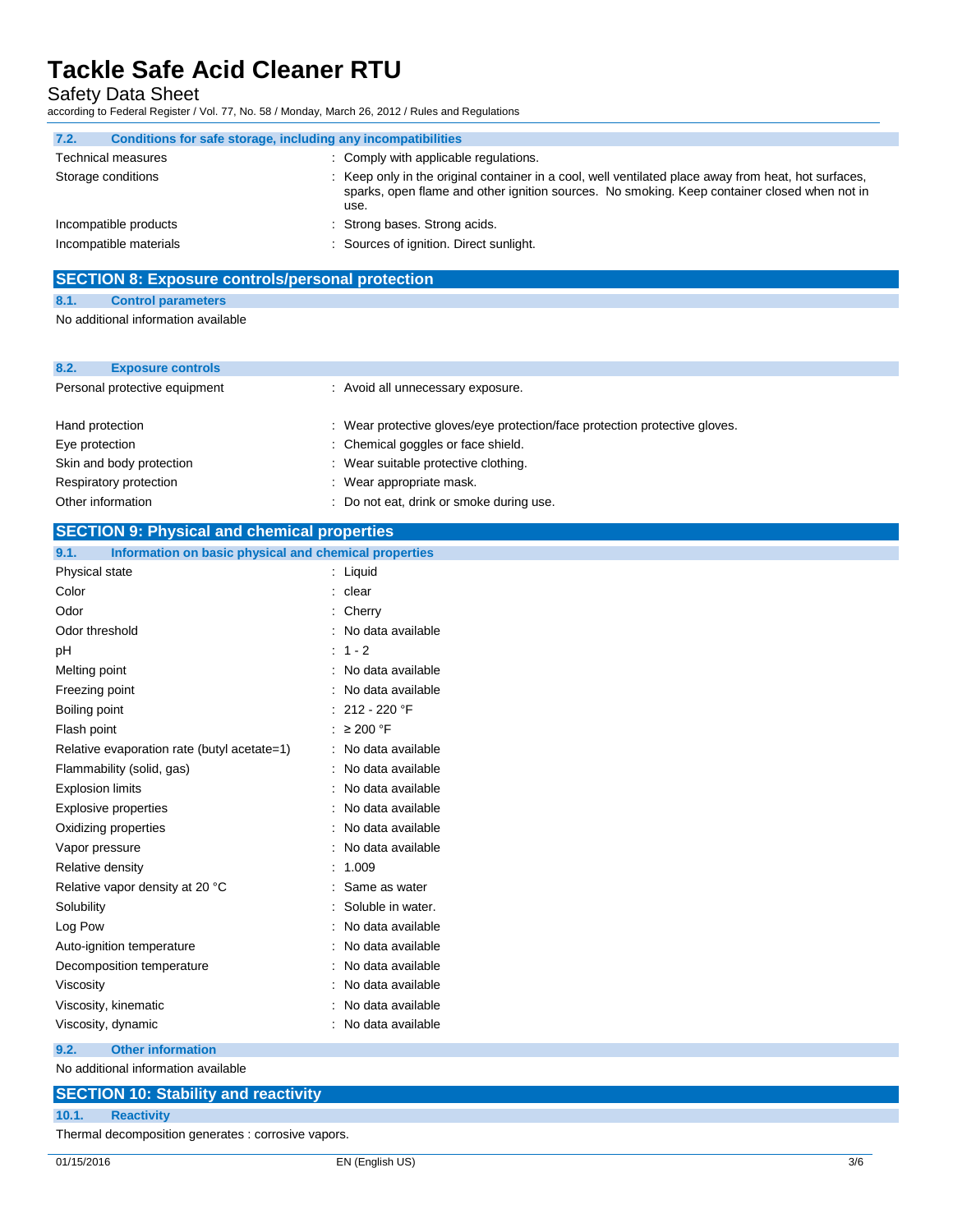Safety Data Sheet

according to Federal Register / Vol. 77, No. 58 / Monday, March 26, 2012 / Rules and Regulations

| 7.2.               | Conditions for safe storage, including any incompatibilities |                                                                                                                                                                                                              |
|--------------------|--------------------------------------------------------------|--------------------------------------------------------------------------------------------------------------------------------------------------------------------------------------------------------------|
|                    | <b>Technical measures</b>                                    | : Comply with applicable regulations.                                                                                                                                                                        |
| Storage conditions |                                                              | : Keep only in the original container in a cool, well ventilated place away from heat, hot surfaces,<br>sparks, open flame and other ignition sources. No smoking. Keep container closed when not in<br>use. |
|                    | Incompatible products                                        | : Strong bases. Strong acids.                                                                                                                                                                                |
|                    | Incompatible materials                                       | : Sources of ignition. Direct sunlight.                                                                                                                                                                      |

### **SECTION 8: Exposure controls/personal protection**

**8.1. Control parameters**

No additional information available

| 8.2.                          | <b>Exposure controls</b> |                                                                            |
|-------------------------------|--------------------------|----------------------------------------------------------------------------|
| Personal protective equipment |                          | : Avoid all unnecessary exposure.                                          |
|                               | Hand protection          | : Wear protective gloves/eye protection/face protection protective gloves. |
|                               | Eye protection           | : Chemical goggles or face shield.                                         |
|                               | Skin and body protection | : Wear suitable protective clothing.                                       |
|                               | Respiratory protection   | : Wear appropriate mask.                                                   |
|                               | Other information        | : Do not eat, drink or smoke during use.                                   |

### **SECTION 9: Physical and chemical properties**

| Information on basic physical and chemical properties<br>9.1. |                         |
|---------------------------------------------------------------|-------------------------|
| Physical state                                                | $:$ Liquid              |
| Color                                                         | : clear                 |
| Odor                                                          | : Cherry                |
| Odor threshold                                                | No data available       |
| pH                                                            | $: 1 - 2$               |
| Melting point                                                 | : No data available     |
| Freezing point                                                | : No data available     |
| Boiling point                                                 | : 212 - 220 $\degree$ F |
| Flash point                                                   | : $\geq 200$ °F         |
| Relative evaporation rate (butyl acetate=1)                   | : No data available     |
| Flammability (solid, gas)                                     | : No data available     |
| <b>Explosion limits</b>                                       | No data available       |
| <b>Explosive properties</b>                                   | No data available       |
| Oxidizing properties                                          | : No data available     |
| Vapor pressure                                                | : No data available     |
| Relative density                                              | : 1.009                 |
| Relative vapor density at 20 °C                               | Same as water           |
| Solubility                                                    | : Soluble in water.     |
| Log Pow                                                       | : No data available     |
| Auto-ignition temperature                                     | : No data available     |
| Decomposition temperature                                     | No data available       |
| Viscosity                                                     | : No data available     |
| Viscosity, kinematic                                          | : No data available     |
| Viscosity, dynamic                                            | : No data available     |
| <b>Other information</b><br>9.2.                              |                         |
|                                                               |                         |

No additional information available

### **SECTION 10: Stability and reactivity**

**10.1. Reactivity**

Thermal decomposition generates : corrosive vapors.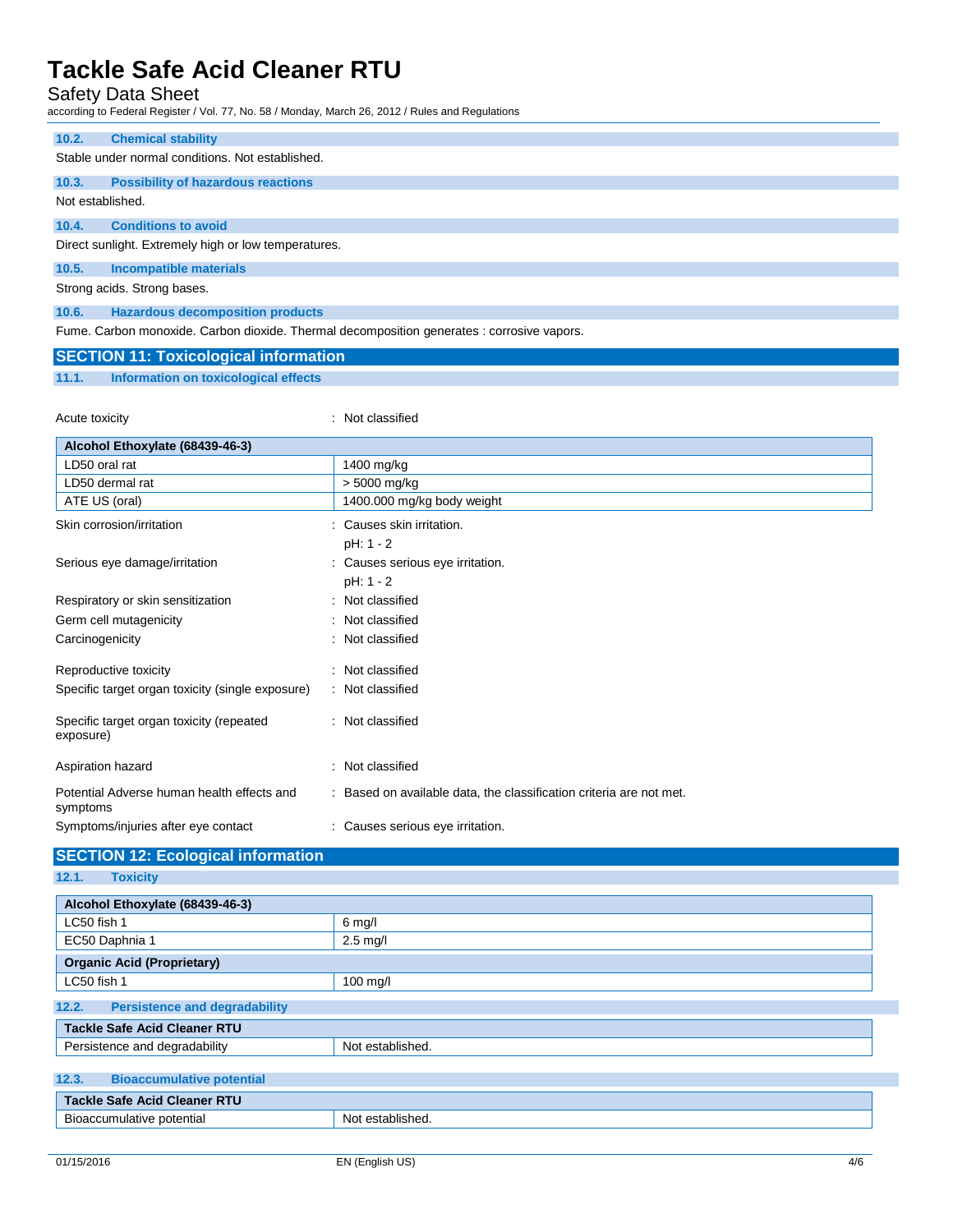Safety Data Sheet

according to Federal Register / Vol. 77, No. 58 / Monday, March 26, 2012 / Rules and Regulations

| 10.2.            | <b>Chemical stability</b>                            |
|------------------|------------------------------------------------------|
|                  | Stable under normal conditions. Not established.     |
| 10.3.            | <b>Possibility of hazardous reactions</b>            |
| Not established. |                                                      |
| 10.4.            | <b>Conditions to avoid</b>                           |
|                  | Direct sunlight. Extremely high or low temperatures. |
| 10.5.            | <b>Incompatible materials</b>                        |
|                  | Strong acids. Strong bases.                          |
| 10.6.            | <b>Hazardous decomposition products</b>              |
|                  |                                                      |

Fume. Carbon monoxide. Carbon dioxide. Thermal decomposition generates : corrosive vapors.

| <b>SECTION 11: Toxicological information</b> |
|----------------------------------------------|
|----------------------------------------------|

**11.1. Information on toxicological effects**

Acute toxicity **in the case of the CALIC CONTEX Not classified** : Not classified

| Alcohol Ethoxylate (68439-46-3)                        |                                                                     |
|--------------------------------------------------------|---------------------------------------------------------------------|
| LD50 oral rat                                          | 1400 mg/kg                                                          |
| LD50 dermal rat                                        | > 5000 mg/kg                                                        |
| ATE US (oral)                                          | 1400.000 mg/kg body weight                                          |
| Skin corrosion/irritation                              | : Causes skin irritation.                                           |
|                                                        | pH: 1 - 2                                                           |
| Serious eye damage/irritation                          | : Causes serious eye irritation.                                    |
|                                                        | pH: 1 - 2                                                           |
| Respiratory or skin sensitization                      | : Not classified                                                    |
| Germ cell mutagenicity                                 | : Not classified                                                    |
| Carcinogenicity                                        | : Not classified                                                    |
| Reproductive toxicity                                  | : Not classified                                                    |
| Specific target organ toxicity (single exposure)       | : Not classified                                                    |
| Specific target organ toxicity (repeated<br>exposure)  | : Not classified                                                    |
| Aspiration hazard                                      | : Not classified                                                    |
| Potential Adverse human health effects and<br>symptoms | : Based on available data, the classification criteria are not met. |
| Symptoms/injuries after eye contact                    | : Causes serious eye irritation.                                    |

### **SECTION 12: Ecological information**

**12.1. Toxicity**

| Alcohol Ethoxylate (68439-46-3)               |                    |  |
|-----------------------------------------------|--------------------|--|
| LC50 fish 1                                   | $6$ mg/l           |  |
| EC50 Daphnia 1                                | $2.5$ mg/l         |  |
| <b>Organic Acid (Proprietary)</b>             |                    |  |
| LC50 fish 1                                   | $100 \text{ mg/l}$ |  |
| 12.2.<br><b>Persistence and degradability</b> |                    |  |
| <b>Tackle Safe Acid Cleaner RTU</b>           |                    |  |
| Persistence and degradability                 | Not established.   |  |
|                                               |                    |  |
| 12.3.<br><b>Bioaccumulative potential</b>     |                    |  |
| <b>Tackle Safe Acid Cleaner RTU</b>           |                    |  |
| Bioaccumulative potential                     | Not established.   |  |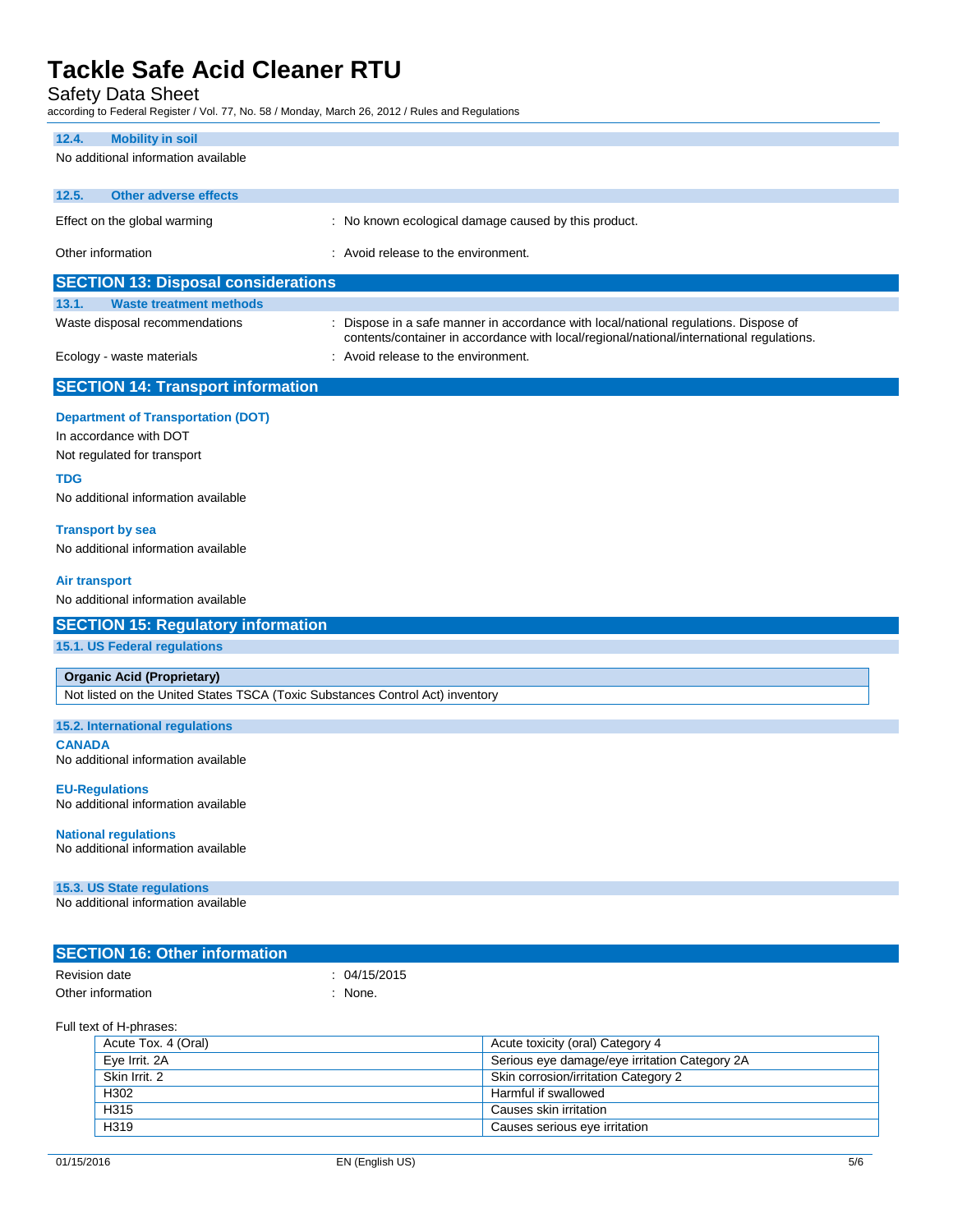Safety Data Sheet

according to Federal Register / Vol. 77, No. 58 / Monday, March 26, 2012 / Rules and Regulations

### **12.4. Mobility in soil**

| $L_{\bullet}$<br>ווטכּ ווו אווועטווו                                          |                                                                                                                                                                                  |
|-------------------------------------------------------------------------------|----------------------------------------------------------------------------------------------------------------------------------------------------------------------------------|
| No additional information available                                           |                                                                                                                                                                                  |
| 12.5.<br><b>Other adverse effects</b>                                         |                                                                                                                                                                                  |
| Effect on the global warming                                                  | : No known ecological damage caused by this product.                                                                                                                             |
| Other information                                                             | : Avoid release to the environment.                                                                                                                                              |
| <b>SECTION 13: Disposal considerations</b>                                    |                                                                                                                                                                                  |
| 13.1.<br><b>Waste treatment methods</b>                                       |                                                                                                                                                                                  |
| Waste disposal recommendations                                                | : Dispose in a safe manner in accordance with local/national regulations. Dispose of<br>contents/container in accordance with local/regional/national/international regulations. |
| Ecology - waste materials                                                     | : Avoid release to the environment.                                                                                                                                              |
| <b>SECTION 14: Transport information</b>                                      |                                                                                                                                                                                  |
| <b>Department of Transportation (DOT)</b>                                     |                                                                                                                                                                                  |
| In accordance with DOT                                                        |                                                                                                                                                                                  |
| Not regulated for transport                                                   |                                                                                                                                                                                  |
| <b>TDG</b>                                                                    |                                                                                                                                                                                  |
| No additional information available                                           |                                                                                                                                                                                  |
| <b>Transport by sea</b>                                                       |                                                                                                                                                                                  |
| No additional information available                                           |                                                                                                                                                                                  |
| <b>Air transport</b>                                                          |                                                                                                                                                                                  |
| No additional information available                                           |                                                                                                                                                                                  |
| <b>SECTION 15: Regulatory information</b>                                     |                                                                                                                                                                                  |
| 15.1. US Federal regulations                                                  |                                                                                                                                                                                  |
| <b>Organic Acid (Proprietary)</b>                                             |                                                                                                                                                                                  |
| Not listed on the United States TSCA (Toxic Substances Control Act) inventory |                                                                                                                                                                                  |
| 15.2. International regulations                                               |                                                                                                                                                                                  |
| <b>CANADA</b>                                                                 |                                                                                                                                                                                  |
| No additional information available                                           |                                                                                                                                                                                  |
| <b>EU-Regulations</b>                                                         |                                                                                                                                                                                  |
| No additional information available                                           |                                                                                                                                                                                  |
| <b>National regulations</b>                                                   |                                                                                                                                                                                  |
| No additional information available                                           |                                                                                                                                                                                  |
| 15.3. US State regulations                                                    |                                                                                                                                                                                  |
| No additional information available                                           |                                                                                                                                                                                  |
| <b>SECTION 16: Other information</b>                                          |                                                                                                                                                                                  |
| <b>Revision date</b>                                                          | : 04/15/2015                                                                                                                                                                     |
| Other information                                                             | : None.                                                                                                                                                                          |
|                                                                               |                                                                                                                                                                                  |

Full text of H-phrases:

| Acute Tox. 4 (Oral) | Acute toxicity (oral) Category 4              |
|---------------------|-----------------------------------------------|
| Eye Irrit. 2A       | Serious eye damage/eye irritation Category 2A |
| Skin Irrit, 2       | Skin corrosion/irritation Category 2          |
| H302                | Harmful if swallowed                          |
| H315                | Causes skin irritation                        |
| H319                | Causes serious eye irritation                 |